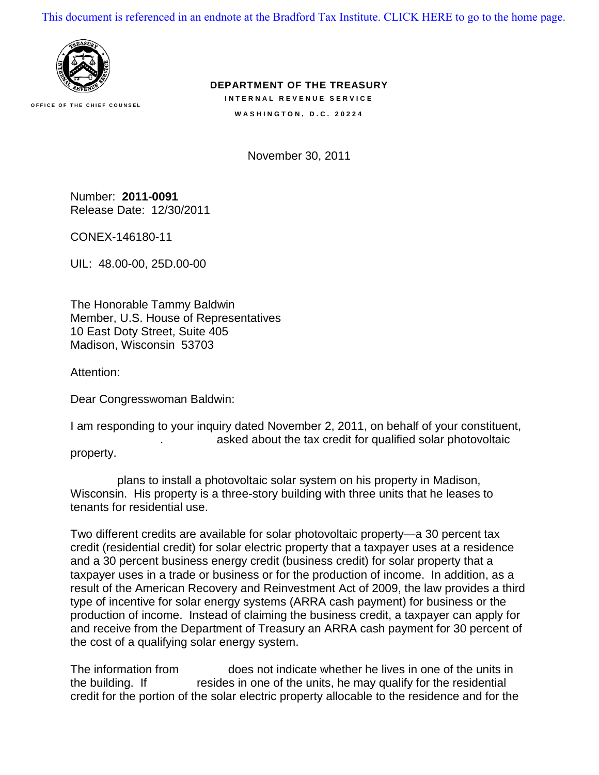[This document is referenced in an endnote at the Bradford Tax Institute. CLICK HERE to go to the home page.](www.bradfordtaxinstitute.com)



**OFFICE OF THE CHIEF COUNSEL**

**DEPARTMENT OF THE TREASURY INTERNAL REVENUE SERVICE WASHINGTON, D.C. 20224** 

November 30, 2011

Number: **2011-0091** Release Date: 12/30/2011

CONEX-146180-11

UIL: 48.00-00, 25D.00-00

The Honorable Tammy Baldwin Member, U.S. House of Representatives 10 East Doty Street, Suite 405 Madison, Wisconsin 53703

Attention:

Dear Congresswoman Baldwin:

I am responding to your inquiry dated November 2, 2011, on behalf of your constituent, asked about the tax credit for qualified solar photovoltaic property.

plans to install a photovoltaic solar system on his property in Madison, Wisconsin. His property is a three-story building with three units that he leases to tenants for residential use.

Two different credits are available for solar photovoltaic property—a 30 percent tax credit (residential credit) for solar electric property that a taxpayer uses at a residence and a 30 percent business energy credit (business credit) for solar property that a taxpayer uses in a trade or business or for the production of income. In addition, as a result of the American Recovery and Reinvestment Act of 2009, the law provides a third type of incentive for solar energy systems (ARRA cash payment) for business or the production of income. Instead of claiming the business credit, a taxpayer can apply for and receive from the Department of Treasury an ARRA cash payment for 30 percent of the cost of a qualifying solar energy system.

The information from  $\log$  does not indicate whether he lives in one of the units in the building. If resides in one of the units, he may qualify for the residential credit for the portion of the solar electric property allocable to the residence and for the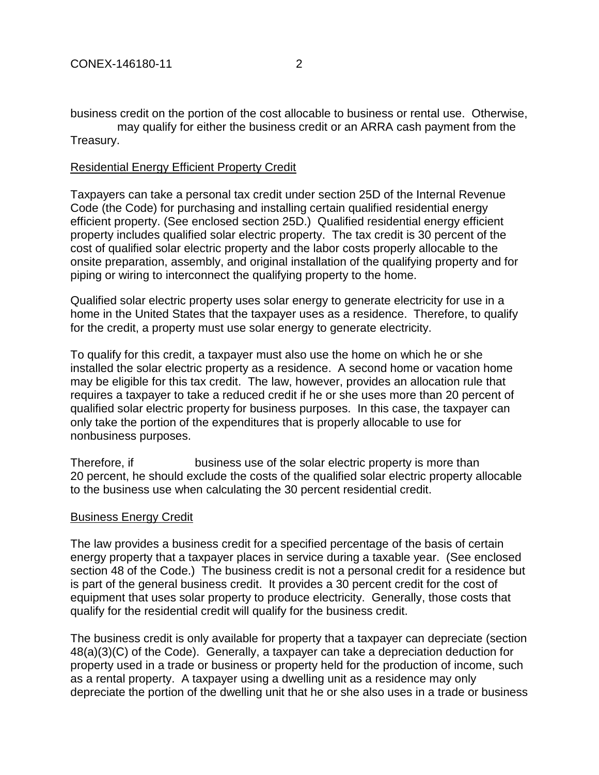business credit on the portion of the cost allocable to business or rental use. Otherwise, may qualify for either the business credit or an ARRA cash payment from the

## Treasury.

## Residential Energy Efficient Property Credit

Taxpayers can take a personal tax credit under section 25D of the Internal Revenue Code (the Code) for purchasing and installing certain qualified residential energy efficient property. (See enclosed section 25D.) Qualified residential energy efficient property includes qualified solar electric property. The tax credit is 30 percent of the cost of qualified solar electric property and the labor costs properly allocable to the onsite preparation, assembly, and original installation of the qualifying property and for piping or wiring to interconnect the qualifying property to the home.

Qualified solar electric property uses solar energy to generate electricity for use in a home in the United States that the taxpayer uses as a residence. Therefore, to qualify for the credit, a property must use solar energy to generate electricity.

To qualify for this credit, a taxpayer must also use the home on which he or she installed the solar electric property as a residence. A second home or vacation home may be eligible for this tax credit. The law, however, provides an allocation rule that requires a taxpayer to take a reduced credit if he or she uses more than 20 percent of qualified solar electric property for business purposes. In this case, the taxpayer can only take the portion of the expenditures that is properly allocable to use for nonbusiness purposes.

Therefore, if Therefore, if the solar electric property is more than 20 percent, he should exclude the costs of the qualified solar electric property allocable to the business use when calculating the 30 percent residential credit.

## Business Energy Credit

The law provides a business credit for a specified percentage of the basis of certain energy property that a taxpayer places in service during a taxable year. (See enclosed section 48 of the Code.) The business credit is not a personal credit for a residence but is part of the general business credit. It provides a 30 percent credit for the cost of equipment that uses solar property to produce electricity. Generally, those costs that qualify for the residential credit will qualify for the business credit.

The business credit is only available for property that a taxpayer can depreciate (section 48(a)(3)(C) of the Code). Generally, a taxpayer can take a depreciation deduction for property used in a trade or business or property held for the production of income, such as a rental property. A taxpayer using a dwelling unit as a residence may only depreciate the portion of the dwelling unit that he or she also uses in a trade or business